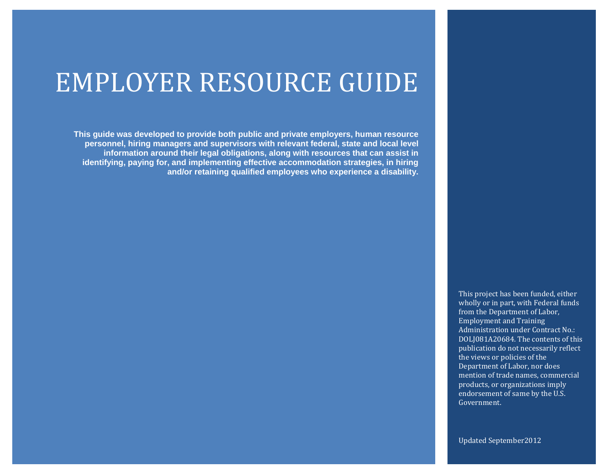## EMPLOYER RESOURCE GUIDE

**This guide was developed to provide both public and private employers, human resource personnel, hiring managers and supervisors with relevant federal, state and local level information around their legal obligations, along with resources that can assist in identifying, paying for, and implementing effective accommodation strategies, in hiring and/or retaining qualified employees who experience a disability.**

> This project has been funded, either wholly or in part, with Federal funds from the Department of Labor, Employment and Training Administration under Contract No.: DOLJ081A20684. The contents of this publication do not necessarily reflect the views or policies of the Department of Labor, nor does mention of trade names, commercial products, or organizations imply endorsement of same by the U.S. Government.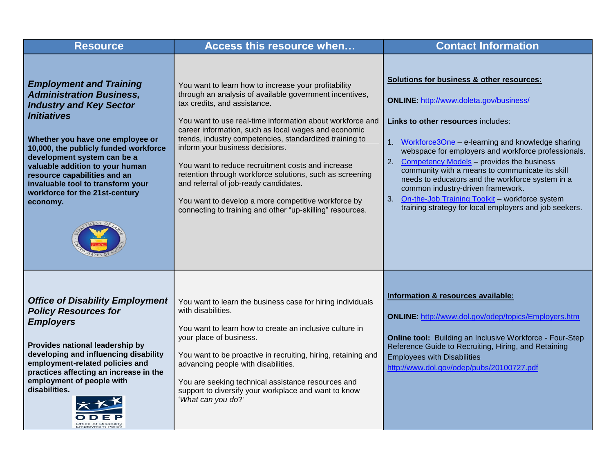| <b>Resource</b>                                                                                                                                                                                                                                                                                                                                                                             | Access this resource when                                                                                                                                                                                                                                                                                                                                                                                                                                                                                                                                                                                                                        | <b>Contact Information</b>                                                                                                                                                                                                                                                                                                                                                                                                                                                                                                                                       |
|---------------------------------------------------------------------------------------------------------------------------------------------------------------------------------------------------------------------------------------------------------------------------------------------------------------------------------------------------------------------------------------------|--------------------------------------------------------------------------------------------------------------------------------------------------------------------------------------------------------------------------------------------------------------------------------------------------------------------------------------------------------------------------------------------------------------------------------------------------------------------------------------------------------------------------------------------------------------------------------------------------------------------------------------------------|------------------------------------------------------------------------------------------------------------------------------------------------------------------------------------------------------------------------------------------------------------------------------------------------------------------------------------------------------------------------------------------------------------------------------------------------------------------------------------------------------------------------------------------------------------------|
| <b>Employment and Training</b><br><b>Administration Business,</b><br><b>Industry and Key Sector</b><br><b>Initiatives</b><br>Whether you have one employee or<br>10,000, the publicly funded workforce<br>development system can be a<br>valuable addition to your human<br>resource capabilities and an<br>invaluable tool to transform your<br>workforce for the 21st-century<br>economy. | You want to learn how to increase your profitability<br>through an analysis of available government incentives,<br>tax credits, and assistance.<br>You want to use real-time information about workforce and<br>career information, such as local wages and economic<br>trends, industry competencies, standardized training to<br>inform your business decisions.<br>You want to reduce recruitment costs and increase<br>retention through workforce solutions, such as screening<br>and referral of job-ready candidates.<br>You want to develop a more competitive workforce by<br>connecting to training and other "up-skilling" resources. | Solutions for business & other resources:<br><b>ONLINE: http://www.doleta.gov/business/</b><br>Links to other resources includes:<br>1. Workforce3One - e-learning and knowledge sharing<br>webspace for employers and workforce professionals.<br>Competency Models - provides the business<br>2.<br>community with a means to communicate its skill<br>needs to educators and the workforce system in a<br>common industry-driven framework.<br>On-the-Job Training Toolkit - workforce system<br>3.<br>training strategy for local employers and job seekers. |
| <b>Office of Disability Employment</b><br><b>Policy Resources for</b><br><b>Employers</b><br>Provides national leadership by<br>developing and influencing disability<br>employment-related policies and<br>practices affecting an increase in the<br>employment of people with<br>disabilities.<br><b>Office of Disabilit</b>                                                              | You want to learn the business case for hiring individuals<br>with disabilities.<br>You want to learn how to create an inclusive culture in<br>your place of business.<br>You want to be proactive in recruiting, hiring, retaining and<br>advancing people with disabilities.<br>You are seeking technical assistance resources and<br>support to diversify your workplace and want to know<br>'What can you do?'                                                                                                                                                                                                                               | Information & resources available:<br>ONLINE: http://www.dol.gov/odep/topics/Employers.htm<br>Online tool: Building an Inclusive Workforce - Four-Step<br>Reference Guide to Recruiting, Hiring, and Retaining<br><b>Employees with Disabilities</b><br>http://www.dol.gov/odep/pubs/20100727.pdf                                                                                                                                                                                                                                                                |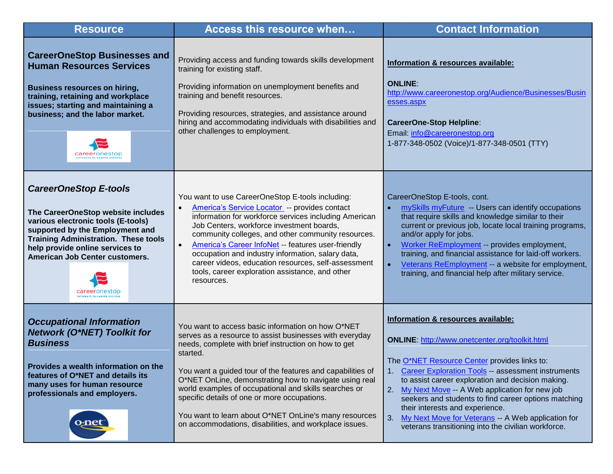| <b>Resource</b>                                                                                                                                                                                                                                                 | Access this resource when                                                                                                                                                                                                                                                                                                                                                                                                                                                                                                            | <b>Contact Information</b>                                                                                                                                                                                                                                                                                                                                                                                                                                                                                                  |
|-----------------------------------------------------------------------------------------------------------------------------------------------------------------------------------------------------------------------------------------------------------------|--------------------------------------------------------------------------------------------------------------------------------------------------------------------------------------------------------------------------------------------------------------------------------------------------------------------------------------------------------------------------------------------------------------------------------------------------------------------------------------------------------------------------------------|-----------------------------------------------------------------------------------------------------------------------------------------------------------------------------------------------------------------------------------------------------------------------------------------------------------------------------------------------------------------------------------------------------------------------------------------------------------------------------------------------------------------------------|
| <b>CareerOneStop Businesses and</b><br><b>Human Resources Services</b><br><b>Business resources on hiring,</b><br>training, retaining and workplace<br>issues; starting and maintaining a<br>business; and the labor market.                                    | Providing access and funding towards skills development<br>training for existing staff.<br>Providing information on unemployment benefits and<br>training and benefit resources.<br>Providing resources, strategies, and assistance around<br>hiring and accommodating individuals with disabilities and<br>other challenges to employment.                                                                                                                                                                                          | Information & resources available:<br><b>ONLINE:</b><br>http://www.careeronestop.org/Audience/Businesses/Busin<br>esses.aspx<br><b>CareerOne-Stop Helpline:</b><br>Email: info@careeronestop.org<br>1-877-348-0502 (Voice)/1-877-348-0501 (TTY)                                                                                                                                                                                                                                                                             |
| <b>CareerOneStop E-tools</b><br>The CareerOneStop website includes<br>various electronic tools (E-tools)<br>supported by the Employment and<br><b>Training Administration. These tools</b><br>help provide online services to<br>American Job Center customers. | You want to use CareerOneStop E-tools including:<br>America's Service Locator -- provides contact<br>information for workforce services including American<br>Job Centers, workforce investment boards,<br>community colleges, and other community resources.<br>America's Career InfoNet -- features user-friendly<br>occupation and industry information, salary data,<br>career videos, education resources, self-assessment<br>tools, career exploration assistance, and other<br>resources.                                     | CareerOneStop E-tools, cont.<br>mySkills myFuture - Users can identify occupations<br>$\bullet$<br>that require skills and knowledge similar to their<br>current or previous job, locate local training programs,<br>and/or apply for jobs.<br>Worker ReEmployment -- provides employment,<br>$\bullet$<br>training, and financial assistance for laid-off workers.<br>Veterans ReEmployment -- a website for employment,<br>$\bullet$<br>training, and financial help after military service.                              |
| <b>Occupational Information</b><br><b>Network (O*NET) Toolkit for</b><br><b>Business</b><br>Provides a wealth information on the<br>features of O*NET and details its<br>many uses for human resource<br>professionals and employers.                           | You want to access basic information on how O*NET<br>serves as a resource to assist businesses with everyday<br>needs, complete with brief instruction on how to get<br>started.<br>You want a guided tour of the features and capabilities of<br>O*NET OnLine, demonstrating how to navigate using real<br>world examples of occupational and skills searches or<br>specific details of one or more occupations.<br>You want to learn about O*NET OnLine's many resources<br>on accommodations, disabilities, and workplace issues. | Information & resources available:<br>ONLINE: http://www.onetcenter.org/toolkit.html<br>The O*NET Resource Center provides links to:<br><b>Career Exploration Tools -- assessment instruments</b><br>to assist career exploration and decision making.<br>My Next Move -- A Web application for new job<br>2.<br>seekers and students to find career options matching<br>their interests and experience.<br>My Next Move for Veterans -- A Web application for<br>3.<br>veterans transitioning into the civilian workforce. |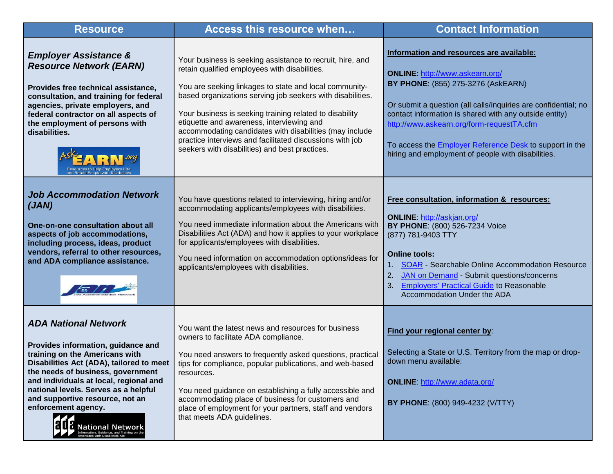| <b>Resource</b>                                                                                                                                                                                                                                                                                                                                                                                                                       | <b>Access this resource when</b>                                                                                                                                                                                                                                                                                                                                                                                                                                                                                    | <b>Contact Information</b>                                                                                                                                                                                                                                                                                                                                                                                                |
|---------------------------------------------------------------------------------------------------------------------------------------------------------------------------------------------------------------------------------------------------------------------------------------------------------------------------------------------------------------------------------------------------------------------------------------|---------------------------------------------------------------------------------------------------------------------------------------------------------------------------------------------------------------------------------------------------------------------------------------------------------------------------------------------------------------------------------------------------------------------------------------------------------------------------------------------------------------------|---------------------------------------------------------------------------------------------------------------------------------------------------------------------------------------------------------------------------------------------------------------------------------------------------------------------------------------------------------------------------------------------------------------------------|
| <b>Employer Assistance &amp;</b><br><b>Resource Network (EARN)</b><br>Provides free technical assistance,<br>consultation, and training for federal<br>agencies, private employers, and<br>federal contractor on all aspects of<br>the employment of persons with<br>disabilities.                                                                                                                                                    | Your business is seeking assistance to recruit, hire, and<br>retain qualified employees with disabilities.<br>You are seeking linkages to state and local community-<br>based organizations serving job seekers with disabilities.<br>Your business is seeking training related to disability<br>etiquette and awareness, interviewing and<br>accommodating candidates with disabilities (may include<br>practice interviews and facilitated discussions with job<br>seekers with disabilities) and best practices. | Information and resources are available:<br><b>ONLINE: http://www.askearn.org/</b><br>BY PHONE: (855) 275-3276 (AskEARN)<br>Or submit a question (all calls/inquiries are confidential; no<br>contact information is shared with any outside entity)<br>http://www.askearn.org/form-requestTA.cfm<br>To access the <i>Employer Reference Desk</i> to support in the<br>hiring and employment of people with disabilities. |
| <b>Job Accommodation Network</b><br>(JAN)<br>One-on-one consultation about all<br>aspects of job accommodations,<br>including process, ideas, product<br>vendors, referral to other resources,<br>and ADA compliance assistance.                                                                                                                                                                                                      | You have questions related to interviewing, hiring and/or<br>accommodating applicants/employees with disabilities.<br>You need immediate information about the Americans with<br>Disabilities Act (ADA) and how it applies to your workplace<br>for applicants/employees with disabilities.<br>You need information on accommodation options/ideas for<br>applicants/employees with disabilities.                                                                                                                   | Free consultation, information & resources:<br><b>ONLINE: http://askjan.org/</b><br>BY PHONE: (800) 526-7234 Voice<br>(877) 781-9403 TTY<br><b>Online tools:</b><br>1. SOAR - Searchable Online Accommodation Resource<br>JAN on Demand - Submit questions/concerns<br>2.<br><b>Employers' Practical Guide to Reasonable</b><br>3.<br>Accommodation Under the ADA                                                         |
| <b>ADA National Network</b><br>Provides information, guidance and<br>training on the Americans with<br>Disabilities Act (ADA), tailored to meet<br>the needs of business, government<br>and individuals at local, regional and<br>national levels. Serves as a helpful<br>and supportive resource, not an<br>enforcement agency.<br>Mational Network<br>Information, Guidance, and Training on the<br>Americans with Disabilities Act | You want the latest news and resources for business<br>owners to facilitate ADA compliance.<br>You need answers to frequently asked questions, practical<br>tips for compliance, popular publications, and web-based<br>resources.<br>You need guidance on establishing a fully accessible and<br>accommodating place of business for customers and<br>place of employment for your partners, staff and vendors<br>that meets ADA guidelines.                                                                       | Find your regional center by:<br>Selecting a State or U.S. Territory from the map or drop-<br>down menu available:<br><b>ONLINE: http://www.adata.org/</b><br>BY PHONE: (800) 949-4232 (V/TTY)                                                                                                                                                                                                                            |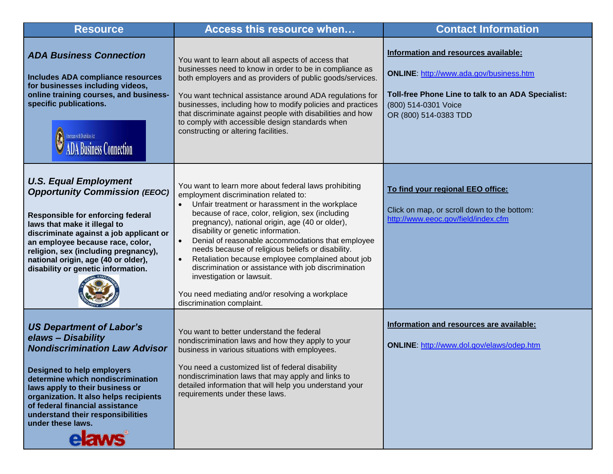| <b>Resource</b>                                                                                                                                                                                                                                                                                                                                                   | Access this resource when                                                                                                                                                                                                                                                                                                                                                                                                                                                                                                                                                                                                                                    | <b>Contact Information</b>                                                                                                                                                             |
|-------------------------------------------------------------------------------------------------------------------------------------------------------------------------------------------------------------------------------------------------------------------------------------------------------------------------------------------------------------------|--------------------------------------------------------------------------------------------------------------------------------------------------------------------------------------------------------------------------------------------------------------------------------------------------------------------------------------------------------------------------------------------------------------------------------------------------------------------------------------------------------------------------------------------------------------------------------------------------------------------------------------------------------------|----------------------------------------------------------------------------------------------------------------------------------------------------------------------------------------|
| <b>ADA Business Connection</b><br>Includes ADA compliance resources<br>for businesses including videos,<br>online training courses, and business-<br>specific publications.<br>Americans with Disabilities Act<br>usiness Connection                                                                                                                              | You want to learn about all aspects of access that<br>businesses need to know in order to be in compliance as<br>both employers and as providers of public goods/services.<br>You want technical assistance around ADA regulations for<br>businesses, including how to modify policies and practices<br>that discriminate against people with disabilities and how<br>to comply with accessible design standards when<br>constructing or altering facilities.                                                                                                                                                                                                | Information and resources available:<br>ONLINE: http://www.ada.gov/business.htm<br>Toll-free Phone Line to talk to an ADA Specialist:<br>(800) 514-0301 Voice<br>OR (800) 514-0383 TDD |
| <b>U.S. Equal Employment</b><br><b>Opportunity Commission (EEOC)</b><br>Responsible for enforcing federal<br>laws that make it illegal to<br>discriminate against a job applicant or<br>an employee because race, color,<br>religion, sex (including pregnancy),<br>national origin, age (40 or older),<br>disability or genetic information.                     | You want to learn more about federal laws prohibiting<br>employment discrimination related to:<br>Unfair treatment or harassment in the workplace<br>because of race, color, religion, sex (including<br>pregnancy), national origin, age (40 or older),<br>disability or genetic information.<br>Denial of reasonable accommodations that employee<br>$\bullet$<br>needs because of religious beliefs or disability.<br>Retaliation because employee complained about job<br>$\bullet$<br>discrimination or assistance with job discrimination<br>investigation or lawsuit.<br>You need mediating and/or resolving a workplace<br>discrimination complaint. | To find your regional EEO office:<br>Click on map, or scroll down to the bottom:<br>http://www.eeoc.gov/field/index.cfm                                                                |
| <b>US Department of Labor's</b><br>elaws - Disability<br><b>Nondiscrimination Law Advisor</b><br><b>Designed to help employers</b><br>determine which nondiscrimination<br>laws apply to their business or<br>organization. It also helps recipients<br>of federal financial assistance<br>understand their responsibilities<br>under these laws.<br><b>elaws</b> | You want to better understand the federal<br>nondiscrimination laws and how they apply to your<br>business in various situations with employees.<br>You need a customized list of federal disability<br>nondiscrimination laws that may apply and links to<br>detailed information that will help you understand your<br>requirements under these laws.                                                                                                                                                                                                                                                                                                      | Information and resources are available:<br><b>ONLINE: http://www.dol.gov/elaws/odep.htm</b>                                                                                           |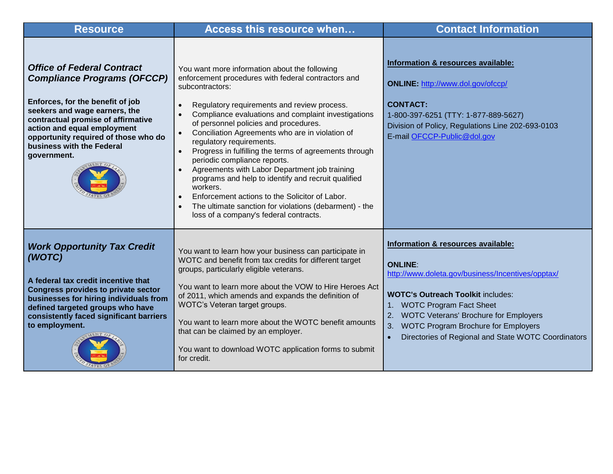| <b>Resource</b>                                                                                                                                                                                                                                                                                       | Access this resource when                                                                                                                                                                                                                                                                                                                                                                                                                                                                                                                                                                                                                                                                                                                                                                                            | <b>Contact Information</b>                                                                                                                                                                                                                                                                                                                 |
|-------------------------------------------------------------------------------------------------------------------------------------------------------------------------------------------------------------------------------------------------------------------------------------------------------|----------------------------------------------------------------------------------------------------------------------------------------------------------------------------------------------------------------------------------------------------------------------------------------------------------------------------------------------------------------------------------------------------------------------------------------------------------------------------------------------------------------------------------------------------------------------------------------------------------------------------------------------------------------------------------------------------------------------------------------------------------------------------------------------------------------------|--------------------------------------------------------------------------------------------------------------------------------------------------------------------------------------------------------------------------------------------------------------------------------------------------------------------------------------------|
| <b>Office of Federal Contract</b><br><b>Compliance Programs (OFCCP)</b><br>Enforces, for the benefit of job<br>seekers and wage earners, the<br>contractual promise of affirmative<br>action and equal employment<br>opportunity required of those who do<br>business with the Federal<br>government. | You want more information about the following<br>enforcement procedures with federal contractors and<br>subcontractors:<br>Regulatory requirements and review process.<br>$\bullet$<br>Compliance evaluations and complaint investigations<br>$\bullet$<br>of personnel policies and procedures.<br>Conciliation Agreements who are in violation of<br>$\bullet$<br>regulatory requirements.<br>Progress in fulfilling the terms of agreements through<br>$\bullet$<br>periodic compliance reports.<br>Agreements with Labor Department job training<br>$\bullet$<br>programs and help to identify and recruit qualified<br>workers.<br>Enforcement actions to the Solicitor of Labor.<br>$\bullet$<br>The ultimate sanction for violations (debarment) - the<br>$\bullet$<br>loss of a company's federal contracts. | Information & resources available:<br><b>ONLINE:</b> http://www.dol.gov/ofccp/<br><b>CONTACT:</b><br>1-800-397-6251 (TTY: 1-877-889-5627)<br>Division of Policy, Regulations Line 202-693-0103<br>E-mail OFCCP-Public@dol.gov                                                                                                              |
| <b>Work Opportunity Tax Credit</b><br>(WOTC)<br>A federal tax credit incentive that<br><b>Congress provides to private sector</b><br>businesses for hiring individuals from<br>defined targeted groups who have<br>consistently faced significant barriers<br>to employment.                          | You want to learn how your business can participate in<br>WOTC and benefit from tax credits for different target<br>groups, particularly eligible veterans.<br>You want to learn more about the VOW to Hire Heroes Act<br>of 2011, which amends and expands the definition of<br>WOTC's Veteran target groups.<br>You want to learn more about the WOTC benefit amounts<br>that can be claimed by an employer.<br>You want to download WOTC application forms to submit<br>for credit.                                                                                                                                                                                                                                                                                                                               | Information & resources available:<br><b>ONLINE:</b><br>http://www.doleta.gov/business/Incentives/opptax/<br><b>WOTC's Outreach Toolkit includes:</b><br>1. WOTC Program Fact Sheet<br>2. WOTC Veterans' Brochure for Employers<br><b>WOTC Program Brochure for Employers</b><br>3.<br>Directories of Regional and State WOTC Coordinators |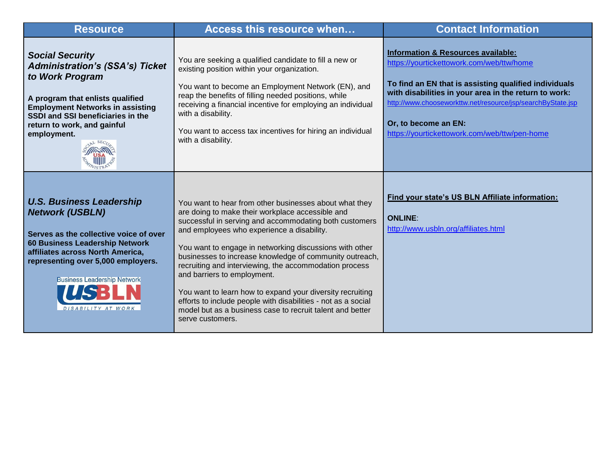| <b>Resource</b>                                                                                                                                                                                                                                                             | Access this resource when                                                                                                                                                                                                                                                                                                                                                                                                                                                                                                                                                                                                                        | <b>Contact Information</b>                                                                                                                                                                                                                                                                                                                           |
|-----------------------------------------------------------------------------------------------------------------------------------------------------------------------------------------------------------------------------------------------------------------------------|--------------------------------------------------------------------------------------------------------------------------------------------------------------------------------------------------------------------------------------------------------------------------------------------------------------------------------------------------------------------------------------------------------------------------------------------------------------------------------------------------------------------------------------------------------------------------------------------------------------------------------------------------|------------------------------------------------------------------------------------------------------------------------------------------------------------------------------------------------------------------------------------------------------------------------------------------------------------------------------------------------------|
| <b>Social Security</b><br><b>Administration's (SSA's) Ticket</b><br>to Work Program<br>A program that enlists qualified<br><b>Employment Networks in assisting</b><br>SSDI and SSI beneficiaries in the<br>return to work, and gainful<br>employment.                       | You are seeking a qualified candidate to fill a new or<br>existing position within your organization.<br>You want to become an Employment Network (EN), and<br>reap the benefits of filling needed positions, while<br>receiving a financial incentive for employing an individual<br>with a disability.<br>You want to access tax incentives for hiring an individual<br>with a disability.                                                                                                                                                                                                                                                     | <b>Information &amp; Resources available:</b><br>https://yourtickettowork.com/web/ttw/home<br>To find an EN that is assisting qualified individuals<br>with disabilities in your area in the return to work:<br>http://www.chooseworkttw.net/resource/jsp/searchByState.jsp<br>Or, to become an EN:<br>https://yourtickettowork.com/web/ttw/pen-home |
| <b>U.S. Business Leadership</b><br><b>Network (USBLN)</b><br>Serves as the collective voice of over<br>60 Business Leadership Network<br>affiliates across North America,<br>representing over 5,000 employers.<br><b>Business Leadership Network</b><br>DISABILITY AT WORK | You want to hear from other businesses about what they<br>are doing to make their workplace accessible and<br>successful in serving and accommodating both customers<br>and employees who experience a disability.<br>You want to engage in networking discussions with other<br>businesses to increase knowledge of community outreach,<br>recruiting and interviewing, the accommodation process<br>and barriers to employment.<br>You want to learn how to expand your diversity recruiting<br>efforts to include people with disabilities - not as a social<br>model but as a business case to recruit talent and better<br>serve customers. | Find your state's US BLN Affiliate information:<br><b>ONLINE:</b><br>http://www.usbln.org/affiliates.html                                                                                                                                                                                                                                            |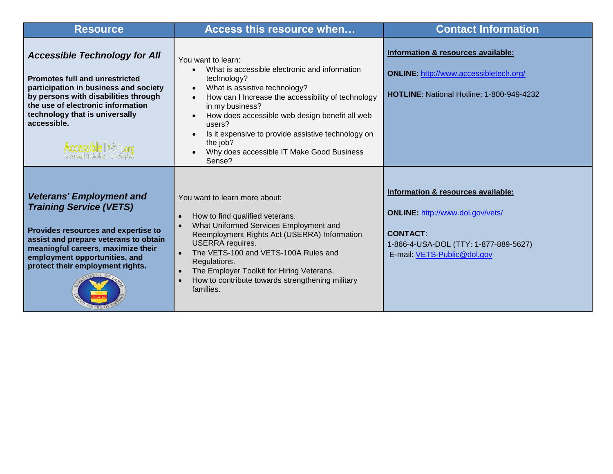| <b>Resource</b>                                                                                                                                                                                                                                              | <b>Access this resource when</b>                                                                                                                                                                                                                                                                                                                                                               | <b>Contact Information</b>                                                                                                                                               |
|--------------------------------------------------------------------------------------------------------------------------------------------------------------------------------------------------------------------------------------------------------------|------------------------------------------------------------------------------------------------------------------------------------------------------------------------------------------------------------------------------------------------------------------------------------------------------------------------------------------------------------------------------------------------|--------------------------------------------------------------------------------------------------------------------------------------------------------------------------|
| <b>Accessible Technology for All</b><br><b>Promotes full and unrestricted</b><br>participation in business and society<br>by persons with disabilities through<br>the use of electronic information<br>technology that is universally<br>accessible.         | You want to learn:<br>What is accessible electronic and information<br>technology?<br>What is assistive technology?<br>$\bullet$<br>How can I Increase the accessibility of technology<br>in my business?<br>How does accessible web design benefit all web<br>users?<br>Is it expensive to provide assistive technology on<br>the job?<br>Why does accessible IT Make Good Business<br>Sense? | Information & resources available:<br><b>ONLINE: http://www.accessibletech.org/</b><br>HOTLINE: National Hotline: 1-800-949-4232                                         |
| <b>Veterans' Employment and</b><br><b>Training Service (VETS)</b><br>Provides resources and expertise to<br>assist and prepare veterans to obtain<br>meaningful careers, maximize their<br>employment opportunities, and<br>protect their employment rights. | You want to learn more about:<br>How to find qualified veterans.<br>What Uniformed Services Employment and<br>Reemployment Rights Act (USERRA) Information<br><b>USERRA</b> requires.<br>The VETS-100 and VETS-100A Rules and<br>Regulations.<br>The Employer Toolkit for Hiring Veterans.<br>How to contribute towards strengthening military<br>families.                                    | Information & resources available:<br><b>ONLINE: http://www.dol.gov/vets/</b><br><b>CONTACT:</b><br>1-866-4-USA-DOL (TTY: 1-877-889-5627)<br>E-mail: VETS-Public@dol.gov |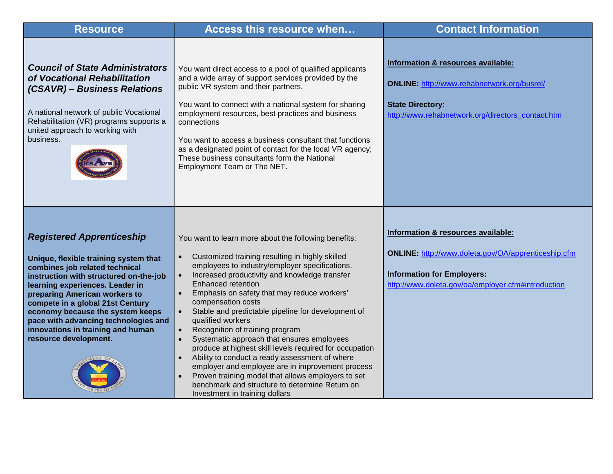| <b>Resource</b>                                                                                                                                                                                                                                                                                                                                                                                         | Access this resource when                                                                                                                                                                                                                                                                                                                                                                                                                                                                                                                                                                                                                                                                                                                                                                                                                                  | <b>Contact Information</b>                                                                                                                                                           |
|---------------------------------------------------------------------------------------------------------------------------------------------------------------------------------------------------------------------------------------------------------------------------------------------------------------------------------------------------------------------------------------------------------|------------------------------------------------------------------------------------------------------------------------------------------------------------------------------------------------------------------------------------------------------------------------------------------------------------------------------------------------------------------------------------------------------------------------------------------------------------------------------------------------------------------------------------------------------------------------------------------------------------------------------------------------------------------------------------------------------------------------------------------------------------------------------------------------------------------------------------------------------------|--------------------------------------------------------------------------------------------------------------------------------------------------------------------------------------|
| <b>Council of State Administrators</b><br>of Vocational Rehabilitation<br>(CSAVR) - Business Relations<br>A national network of public Vocational<br>Rehabilitation (VR) programs supports a<br>united approach to working with<br>business.                                                                                                                                                            | You want direct access to a pool of qualified applicants<br>and a wide array of support services provided by the<br>public VR system and their partners.<br>You want to connect with a national system for sharing<br>employment resources, best practices and business<br>connections<br>You want to access a business consultant that functions<br>as a designated point of contact for the local VR agency;<br>These business consultants form the National<br>Employment Team or The NET.                                                                                                                                                                                                                                                                                                                                                              | Information & resources available:<br>ONLINE: http://www.rehabnetwork.org/busrel/<br><b>State Directory:</b><br>http://www.rehabnetwork.org/directors_contact.htm                    |
| <b>Registered Apprenticeship</b><br>Unique, flexible training system that<br>combines job related technical<br>instruction with structured on-the-job<br>learning experiences. Leader in<br>preparing American workers to<br>compete in a global 21st Century<br>economy because the system keeps<br>pace with advancing technologies and<br>innovations in training and human<br>resource development. | You want to learn more about the following benefits:<br>Customized training resulting in highly skilled<br>$\bullet$<br>employees to industry/employer specifications.<br>Increased productivity and knowledge transfer<br>$\bullet$<br>Enhanced retention<br>Emphasis on safety that may reduce workers'<br>$\bullet$<br>compensation costs<br>Stable and predictable pipeline for development of<br>$\bullet$<br>qualified workers<br>Recognition of training program<br>$\bullet$<br>Systematic approach that ensures employees<br>$\bullet$<br>produce at highest skill levels required for occupation<br>Ability to conduct a ready assessment of where<br>employer and employee are in improvement process<br>Proven training model that allows employers to set<br>benchmark and structure to determine Return on<br>Investment in training dollars | Information & resources available:<br>ONLINE: http://www.doleta.gov/OA/apprenticeship.cfm<br><b>Information for Employers:</b><br>http://www.doleta.gov/oa/employer.cfm#introduction |